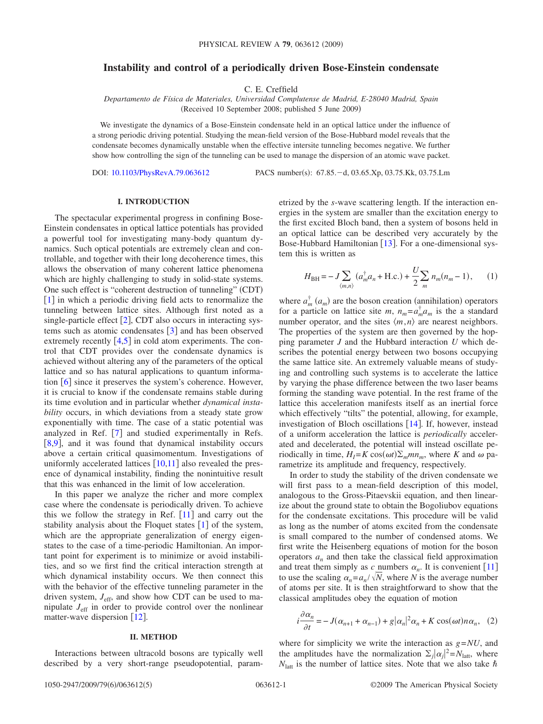# **Instability and control of a periodically driven Bose-Einstein condensate**

C. E. Creffield

*Departamento de Física de Materiales, Universidad Complutense de Madrid, E-28040 Madrid, Spain* (Received 10 September 2008; published 5 June 2009)

We investigate the dynamics of a Bose-Einstein condensate held in an optical lattice under the influence of a strong periodic driving potential. Studying the mean-field version of the Bose-Hubbard model reveals that the condensate becomes dynamically unstable when the effective intersite tunneling becomes negative. We further show how controlling the sign of the tunneling can be used to manage the dispersion of an atomic wave packet.

DOI: [10.1103/PhysRevA.79.063612](http://dx.doi.org/10.1103/PhysRevA.79.063612)

PACS number(s): 67.85. - d, 03.65.Xp, 03.75.Kk, 03.75.Lm

# **I. INTRODUCTION**

The spectacular experimental progress in confining Bose-Einstein condensates in optical lattice potentials has provided a powerful tool for investigating many-body quantum dynamics. Such optical potentials are extremely clean and controllable, and together with their long decoherence times, this allows the observation of many coherent lattice phenomena which are highly challenging to study in solid-state systems. One such effect is "coherent destruction of tunneling" (CDT)  $\lceil 1 \rceil$  $\lceil 1 \rceil$  $\lceil 1 \rceil$  in which a periodic driving field acts to renormalize the tunneling between lattice sites. Although first noted as a single-particle effect  $[2]$  $[2]$  $[2]$ , CDT also occurs in interacting systems such as atomic condensates  $\begin{bmatrix} 3 \end{bmatrix}$  $\begin{bmatrix} 3 \end{bmatrix}$  $\begin{bmatrix} 3 \end{bmatrix}$  and has been observed extremely recently  $[4,5]$  $[4,5]$  $[4,5]$  $[4,5]$  in cold atom experiments. The control that CDT provides over the condensate dynamics is achieved without altering any of the parameters of the optical lattice and so has natural applications to quantum information  $\lceil 6 \rceil$  $\lceil 6 \rceil$  $\lceil 6 \rceil$  since it preserves the system's coherence. However, it is crucial to know if the condensate remains stable during its time evolution and in particular whether *dynamical instability* occurs, in which deviations from a steady state grow exponentially with time. The case of a static potential was analyzed in Ref.  $[7]$  $[7]$  $[7]$  and studied experimentally in Refs. [[8](#page-4-7)[,9](#page-4-8)], and it was found that dynamical instability occurs above a certain critical quasimomentum. Investigations of uniformly accelerated lattices  $\lceil 10,11 \rceil$  $\lceil 10,11 \rceil$  $\lceil 10,11 \rceil$  $\lceil 10,11 \rceil$  also revealed the presence of dynamical instability, finding the nonintuitive result that this was enhanced in the limit of low acceleration.

In this paper we analyze the richer and more complex case where the condensate is periodically driven. To achieve this we follow the strategy in Ref.  $\lceil 11 \rceil$  $\lceil 11 \rceil$  $\lceil 11 \rceil$  and carry out the stability analysis about the Floquet states  $[1]$  $[1]$  $[1]$  of the system, which are the appropriate generalization of energy eigenstates to the case of a time-periodic Hamiltonian. An important point for experiment is to minimize or avoid instabilities, and so we first find the critical interaction strength at which dynamical instability occurs. We then connect this with the behavior of the effective tunneling parameter in the driven system,  $J_{\text{eff}}$ , and show how CDT can be used to manipulate  $J<sub>eff</sub>$  in order to provide control over the nonlinear matter-wave dispersion  $\lceil 12 \rceil$  $\lceil 12 \rceil$  $\lceil 12 \rceil$ .

#### **II. METHOD**

Interactions between ultracold bosons are typically well described by a very short-range pseudopotential, parametrized by the *s*-wave scattering length. If the interaction energies in the system are smaller than the excitation energy to the first excited Bloch band, then a system of bosons held in an optical lattice can be described very accurately by the Bose-Hubbard Hamiltonian  $[13]$  $[13]$  $[13]$ . For a one-dimensional system this is written as

$$
H_{\rm BH} = -J \sum_{\langle m,n \rangle} (a_m^{\dagger} a_n + \text{H.c.}) + \frac{U}{2} \sum_m n_m (n_m - 1), \qquad (1)
$$

where  $a_m^{\dagger}(a_m)$  are the boson creation (annihilation) operators for a particle on lattice site *m*,  $n_m = a_m^{\dagger} a_m$  is the a standard number operator, and the sites  $\langle m,n \rangle$  are nearest neighbors. The properties of the system are then governed by the hopping parameter *J* and the Hubbard interaction *U* which describes the potential energy between two bosons occupying the same lattice site. An extremely valuable means of studying and controlling such systems is to accelerate the lattice by varying the phase difference between the two laser beams forming the standing wave potential. In the rest frame of the lattice this acceleration manifests itself as an inertial force which effectively "tilts" the potential, allowing, for example, investigation of Bloch oscillations  $[14]$  $[14]$  $[14]$ . If, however, instead of a uniform acceleration the lattice is *periodically* accelerated and decelerated, the potential will instead oscillate periodically in time,  $H_I = K \cos(\omega t) \sum_m m n_m$ , where *K* and  $\omega$  parametrize its amplitude and frequency, respectively.

In order to study the stability of the driven condensate we will first pass to a mean-field description of this model, analogous to the Gross-Pitaevskii equation, and then linearize about the ground state to obtain the Bogoliubov equations for the condensate excitations. This procedure will be valid as long as the number of atoms excited from the condensate is small compared to the number of condensed atoms. We first write the Heisenberg equations of motion for the boson operators  $a_n$  and then take the classical field approximation and treat them simply as c numbers  $\alpha_n$ . It is convenient [[11](#page-4-10)] to use the scaling  $\alpha_n = a_n / \sqrt{N}$ , where *N* is the average number of atoms per site. It is then straightforward to show that the classical amplitudes obey the equation of motion

$$
i\frac{\partial \alpha_n}{\partial t} = -J(\alpha_{n+1} + \alpha_{n-1}) + g|\alpha_n|^2 \alpha_n + K \cos(\omega t) n \alpha_n, \quad (2)
$$

<span id="page-0-0"></span>where for simplicity we write the interaction as  $g = NU$ , and the amplitudes have the normalization  $\Sigma_j |\alpha_j|^2 = N_{\text{latt}}$ , where  $N<sub>latt</sub>$  is the number of lattice sites. Note that we also take  $\hbar$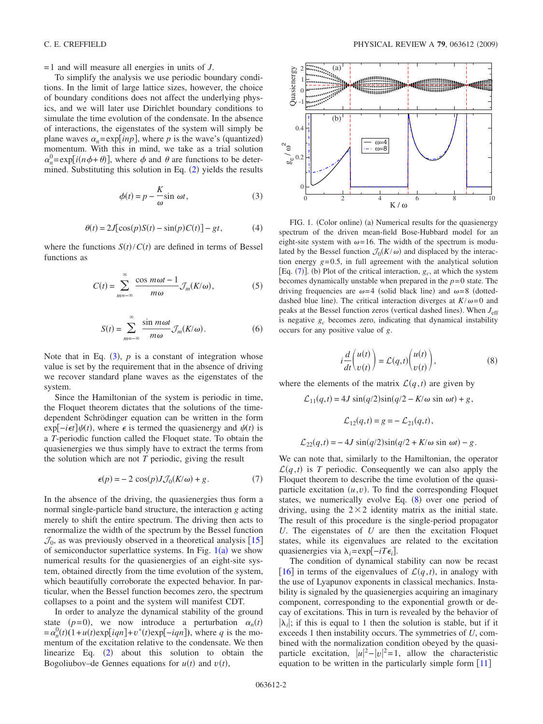= 1 and will measure all energies in units of *J*.

To simplify the analysis we use periodic boundary conditions. In the limit of large lattice sizes, however, the choice of boundary conditions does not affect the underlying physics, and we will later use Dirichlet boundary conditions to simulate the time evolution of the condensate. In the absence of interactions, the eigenstates of the system will simply be plane waves  $\alpha_n = \exp[inp]$ , where *p* is the wave's (quantized) momentum. With this in mind, we take as a trial solution  $\alpha_n^0 = \exp[i(n\phi + \theta)]$ , where  $\phi$  and  $\theta$  are functions to be determined. Substituting this solution in Eq.  $(2)$  $(2)$  $(2)$  yields the results

$$
\phi(t) = p - \frac{K}{\omega} \sin \omega t, \qquad (3)
$$

$$
\theta(t) = 2J[\cos(p)S(t) - \sin(p)C(t)] - gt,\tag{4}
$$

<span id="page-1-0"></span>where the functions  $S(t)/C(t)$  are defined in terms of Bessel functions as

$$
C(t) = \sum_{m=-\infty}^{\infty} \frac{\cos m\omega t - 1}{m\omega} \mathcal{J}_m(K/\omega),
$$
 (5)

$$
S(t) = \sum_{m=-\infty}^{\infty} \frac{\sin m\omega t}{m\omega} \mathcal{J}_m(K/\omega).
$$
 (6)

Note that in Eq.  $(3)$  $(3)$  $(3)$ ,  $p$  is a constant of integration whose value is set by the requirement that in the absence of driving we recover standard plane waves as the eigenstates of the system.

Since the Hamiltonian of the system is periodic in time, the Floquet theorem dictates that the solutions of the timedependent Schrödinger equation can be written in the form  $exp[-i\epsilon t] \psi(t)$ , where  $\epsilon$  is termed the quasienergy and  $\psi(t)$  is a *T*-periodic function called the Floquet state. To obtain the quasienergies we thus simply have to extract the terms from the solution which are not *T* periodic, giving the result

$$
\epsilon(p) = -2 \cos(p) J \mathcal{J}_0(K/\omega) + g. \tag{7}
$$

<span id="page-1-3"></span>In the absence of the driving, the quasienergies thus form a normal single-particle band structure, the interaction *g* acting merely to shift the entire spectrum. The driving then acts to renormalize the width of the spectrum by the Bessel function  $\mathcal{J}_0$ , as was previously observed in a theoretical analysis [[15](#page-4-14)] of semiconductor superlattice systems. In Fig.  $1(a)$  $1(a)$  we show numerical results for the quasienergies of an eight-site system, obtained directly from the time evolution of the system, which beautifully corroborate the expected behavior. In particular, when the Bessel function becomes zero, the spectrum collapses to a point and the system will manifest CDT.

In order to analyze the dynamical stability of the ground state ( $p=0$ ), we now introduce a perturbation  $\alpha_n(t)$  $= \alpha_n^0(t) (1 + u(t) \exp[iqn] + v^*(t) \exp[-iqn]),$  where *q* is the momentum of the excitation relative to the condensate. We then linearize Eq.  $(2)$  $(2)$  $(2)$  about this solution to obtain the Bogoliubov–de Gennes equations for  $u(t)$  and  $v(t)$ ,

<span id="page-1-1"></span>

FIG. 1. (Color online) (a) Numerical results for the quasienergy spectrum of the driven mean-field Bose-Hubbard model for an eight-site system with  $\omega = 16$ . The width of the spectrum is modulated by the Bessel function  $\mathcal{J}_0(K/\omega)$  and displaced by the interaction energy  $g=0.5$ , in full agreement with the analytical solution [Eq.  $(7)$  $(7)$  $(7)$ ]. (b) Plot of the critical interaction,  $g_c$ , at which the system becomes dynamically unstable when prepared in the  $p=0$  state. The driving frequencies are  $\omega = 4$  (solid black line) and  $\omega = 8$  (dotteddashed blue line). The critical interaction diverges at  $K/\omega = 0$  and peaks at the Bessel function zeros (vertical dashed lines). When  $J_{\text{eff}}$ is negative  $g_c$  becomes zero, indicating that dynamical instability occurs for any positive value of *g*.

$$
i\frac{d}{dt}\binom{u(t)}{v(t)} = \mathcal{L}(q,t)\binom{u(t)}{v(t)},\tag{8}
$$

<span id="page-1-2"></span>where the elements of the matrix  $\mathcal{L}(q,t)$  are given by

$$
\mathcal{L}_{11}(q,t) = 4J \sin(q/2)\sin(q/2 - K/\omega \sin \omega t) + g,
$$
  

$$
\mathcal{L}_{12}(q,t) = g = -\mathcal{L}_{21}(q,t),
$$

 $\mathcal{L}_{22}(q,t) = -4J \sin(q/2)\sin(q/2) + K/\omega \sin(\omega t) - g$ .

We can note that, similarly to the Hamiltonian, the operator  $\mathcal{L}(q,t)$  is *T* periodic. Consequently we can also apply the Floquet theorem to describe the time evolution of the quasiparticle excitation  $(u, v)$ . To find the corresponding Floquet states, we numerically evolve Eq.  $(8)$  $(8)$  $(8)$  over one period of driving, using the  $2 \times 2$  identity matrix as the initial state. The result of this procedure is the single-period propagator *U*. The eigenstates of *U* are then the excitation Floquet states, while its eigenvalues are related to the excitation quasienergies via  $\lambda_i = \exp[-iT\epsilon_i]$ .

The condition of dynamical stability can now be recast [[16](#page-4-15)] in terms of the eigenvalues of  $\mathcal{L}(q,t)$ , in analogy with the use of Lyapunov exponents in classical mechanics. Instability is signaled by the quasienergies acquiring an imaginary component, corresponding to the exponential growth or decay of excitations. This in turn is revealed by the behavior of  $|\lambda_i|$ ; if this is equal to 1 then the solution is stable, but if it exceeds 1 then instability occurs. The symmetries of *U*, combined with the normalization condition obeyed by the quasiparticle excitation,  $|u|^2 - |v|^2 = 1$ , allow the characteristic equation to be written in the particularly simple form  $[11]$  $[11]$  $[11]$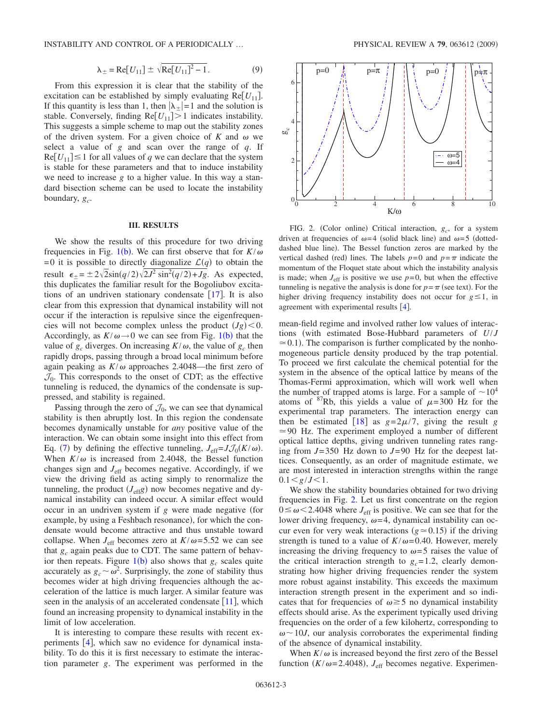INSTABILITY AND CONTROL OF A PERIODICALLY ... PHYSICAL REVIEW A **79**, 063612 (2009)

$$
\lambda_{\pm} = \text{Re}[U_{11}] \pm \sqrt{\text{Re}[U_{11}]^2 - 1}.
$$
 (9)

From this expression it is clear that the stability of the excitation can be established by simply evaluating  $Re[U_{11}]$ . If this quantity is less than 1, then  $|\lambda_{\pm}|=1$  and the solution is stable. Conversely, finding  $\text{Re}[U_{11}] > 1$  indicates instability. This suggests a simple scheme to map out the stability zones of the driven system. For a given choice of  $K$  and  $\omega$  we select a value of *g* and scan over the range of *q*. If  $\text{Re}[U_{11}] \leq 1$  for all values of *q* we can declare that the system is stable for these parameters and that to induce instability we need to increase *g* to a higher value. In this way a standard bisection scheme can be used to locate the instability boundary,  $g_c$ .

# **III. RESULTS**

We show the results of this procedure for two driving frequencies in Fig. [1](#page-1-1)(b). We can first observe that for  $K/\omega$ =0 it is possible to directly diagonalize  $\mathcal{L}(q)$  to obtain the result  $\epsilon_{\pm} = \pm 2\sqrt{2}\sin(q/2)\sqrt{2J^2 \sin^2(q/2) + Jg}$ . As expected, this duplicates the familiar result for the Bogoliubov excitations of an undriven stationary condensate  $\lceil 17 \rceil$  $\lceil 17 \rceil$  $\lceil 17 \rceil$ . It is also clear from this expression that dynamical instability will not occur if the interaction is repulsive since the eigenfrequencies will not become complex unless the product  $(Jg) < 0$ . Accordingly, as  $K/\omega \rightarrow 0$  we can see from Fig. 1([b](#page-1-1)) that the value of  $g_c$  diverges. On increasing  $K/\omega$ , the value of  $g_c$  then rapidly drops, passing through a broad local minimum before again peaking as  $K/\omega$  approaches 2.4048—the first zero of  $\mathcal{J}_0$ . This corresponds to the onset of CDT; as the effective tunneling is reduced, the dynamics of the condensate is suppressed, and stability is regained.

Passing through the zero of  $\mathcal{J}_0$ , we can see that dynamical stability is then abruptly lost. In this region the condensate becomes dynamically unstable for *any* positive value of the interaction. We can obtain some insight into this effect from Eq. ([7](#page-1-3)) by defining the effective tunneling,  $J_{\text{eff}}=J\mathcal{J}_0(K/\omega)$ . When  $K/\omega$  is increased from 2.4048, the Bessel function changes sign and *J*eff becomes negative. Accordingly, if we view the driving field as acting simply to renormalize the tunneling, the product  $(J_{\text{eff}}g)$  now becomes negative and dynamical instability can indeed occur. A similar effect would occur in an undriven system if *g* were made negative (for example, by using a Feshbach resonance), for which the condensate would become attractive and thus unstable toward collapse. When  $J_{\text{eff}}$  becomes zero at  $K/\omega$ =5.52 we can see that  $g_c$  again peaks due to CDT. The same pattern of behavior then repeats. Figure  $1(b)$  $1(b)$  also shows that  $g_c$  scales quite accurately as  $g_c \sim \omega^2$ . Surprisingly, the zone of stability thus becomes wider at high driving frequencies although the acceleration of the lattice is much larger. A similar feature was seen in the analysis of an accelerated condensate  $[11]$  $[11]$  $[11]$ , which found an increasing propensity to dynamical instability in the limit of low acceleration.

It is interesting to compare these results with recent experiments  $[4]$  $[4]$  $[4]$ , which saw no evidence for dynamical instability. To do this it is first necessary to estimate the interaction parameter *g*. The experiment was performed in the

<span id="page-2-0"></span>

FIG. 2. (Color online) Critical interaction,  $g_c$ , for a system driven at frequencies of  $\omega = 4$  (solid black line) and  $\omega = 5$  (dotteddashed blue line). The Bessel function zeros are marked by the vertical dashed (red) lines. The labels  $p=0$  and  $p=\pi$  indicate the momentum of the Floquet state about which the instability analysis is made; when  $J_{\text{eff}}$  is positive we use  $p=0$ , but when the effective tunneling is negative the analysis is done for  $p = \pi$  (see text). For the higher driving frequency instability does not occur for  $g \le 1$ , in agreement with experimental results  $[4]$  $[4]$  $[4]$ .

mean-field regime and involved rather low values of interactions (with estimated Bose-Hubbard parameters of  $U/J$  $\approx$  0.1). The comparison is further complicated by the nonhomogeneous particle density produced by the trap potential. To proceed we first calculate the chemical potential for the system in the absence of the optical lattice by means of the Thomas-Fermi approximation, which will work well when the number of trapped atoms is large. For a sample of  $\sim 10^4$ atoms of  $^{87}$ Rb, this yields a value of  $\mu$ =300 Hz for the experimental trap parameters. The interaction energy can then be estimated [[18](#page-4-17)] as  $g=2\mu/7$ , giving the result *g*  $\simeq$  90 Hz. The experiment employed a number of different optical lattice depths, giving undriven tunneling rates ranging from *J*= 350 Hz down to *J*= 90 Hz for the deepest lattices. Consequently, as an order of magnitude estimate, we are most interested in interaction strengths within the range  $0.1 \leq g/J \leq 1.$ 

We show the stability boundaries obtained for two driving frequencies in Fig. [2.](#page-2-0) Let us first concentrate on the region  $0 \le \omega \le 2.4048$  where  $J_{\text{eff}}$  is positive. We can see that for the lower driving frequency,  $\omega = 4$ , dynamical instability can occur even for very weak interactions ( $g \approx 0.15$ ) if the driving strength is tuned to a value of  $K/\omega = 0.40$ . However, merely increasing the driving frequency to  $\omega = 5$  raises the value of the critical interaction strength to  $g_c = 1.2$ , clearly demonstrating how higher driving frequencies render the system more robust against instability. This exceeds the maximum interaction strength present in the experiment and so indicates that for frequencies of  $\omega \ge 5$  no dynamical instability effects should arise. As the experiment typically used driving frequencies on the order of a few kilohertz, corresponding to  $\omega$  ~ 10*J*, our analysis corroborates the experimental finding of the absence of dynamical instability.

When  $K/\omega$  is increased beyond the first zero of the Bessel function  $(K/\omega=2.4048)$ ,  $J_{\text{eff}}$  becomes negative. Experimen-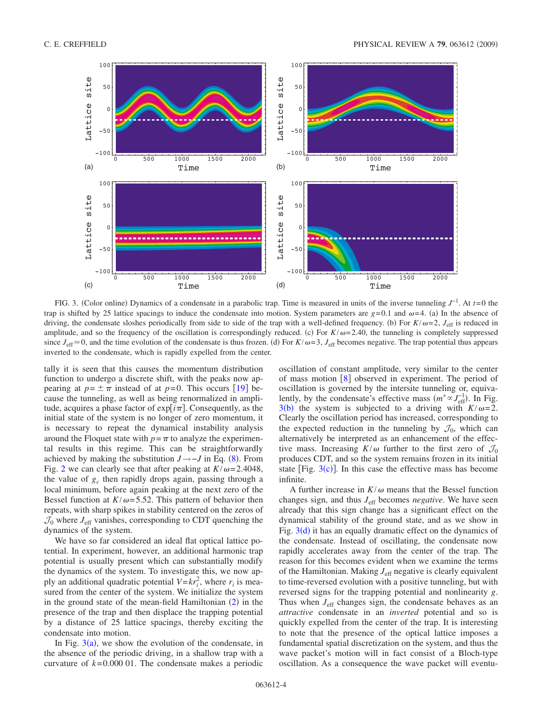<span id="page-3-0"></span>

FIG. 3. Color online- Dynamics of a condensate in a parabolic trap. Time is measured in units of the inverse tunneling *J*−1. At *t*= 0 the trap is shifted by 25 lattice spacings to induce the condensate into motion. System parameters are  $g=0.1$  and  $\omega=4$ . (a) In the absence of driving, the condensate sloshes periodically from side to side of the trap with a well-defined frequency. (b) For  $K/\omega=2$ ,  $J_{\text{eff}}$  is reduced in amplitude, and so the frequency of the oscillation is correspondingly reduced. (c) For  $K/\omega = 2.40$ , the tunneling is completely suppressed since  $J_{\text{eff}} \approx 0$ , and the time evolution of the condensate is thus frozen. (d) For  $K/\omega = 3$ ,  $J_{\text{eff}}$  becomes negative. The trap potential thus appears inverted to the condensate, which is rapidly expelled from the center.

tally it is seen that this causes the momentum distribution function to undergo a discrete shift, with the peaks now appearing at  $p = \pm \pi$  instead of at  $p=0$ . This occurs [[19](#page-4-18)] because the tunneling, as well as being renormalized in amplitude, acquires a phase factor of  $\exp[i\pi]$ . Consequently, as the initial state of the system is no longer of zero momentum, it is necessary to repeat the dynamical instability analysis around the Floquet state with  $p = \pi$  to analyze the experimental results in this regime. This can be straightforwardly achieved by making the substitution  $J \rightarrow -J$  in Eq. ([8](#page-1-2)). From Fig. [2](#page-2-0) we can clearly see that after peaking at  $K/\omega = 2.4048$ , the value of  $g_c$  then rapidly drops again, passing through a local minimum, before again peaking at the next zero of the Bessel function at  $K/\omega$ = 5.52. This pattern of behavior then repeats, with sharp spikes in stability centered on the zeros of  $\mathcal{J}_0$  where  $J_{\text{eff}}$  vanishes, corresponding to CDT quenching the dynamics of the system.

We have so far considered an ideal flat optical lattice potential. In experiment, however, an additional harmonic trap potential is usually present which can substantially modify the dynamics of the system. To investigate this, we now apply an additional quadratic potential  $V=kr_i^2$ , where  $r_i$  is measured from the center of the system. We initialize the system in the ground state of the mean-field Hamiltonian  $(2)$  $(2)$  $(2)$  in the presence of the trap and then displace the trapping potential by a distance of 25 lattice spacings, thereby exciting the condensate into motion.

In Fig.  $3(a)$  $3(a)$ , we show the evolution of the condensate, in the absence of the periodic driving, in a shallow trap with a curvature of  $k = 0.000$  01. The condensate makes a periodic oscillation of constant amplitude, very similar to the center of mass motion  $\begin{bmatrix} 8 \end{bmatrix}$  $\begin{bmatrix} 8 \end{bmatrix}$  $\begin{bmatrix} 8 \end{bmatrix}$  observed in experiment. The period of oscillation is governed by the intersite tunneling or, equivalently, by the condensate's effective mass  $(m^* \propto J_{\text{eff}}^{-1})$ . In Fig. [3](#page-3-0)(b) the system is subjected to a driving with  $K/\omega = 2$ . Clearly the oscillation period has increased, corresponding to the expected reduction in the tunneling by  $\mathcal{J}_0$ , which can alternatively be interpreted as an enhancement of the effective mass. Increasing  $K/\omega$  further to the first zero of  $\mathcal{J}_0$ produces CDT, and so the system remains frozen in its initial state [Fig.  $3(c)$  $3(c)$ ]. In this case the effective mass has become infinite.

A further increase in  $K/\omega$  means that the Bessel function changes sign, and thus *J*eff becomes *negative*. We have seen already that this sign change has a significant effect on the dynamical stability of the ground state, and as we show in Fig.  $3(d)$  $3(d)$  it has an equally dramatic effect on the dynamics of the condensate. Instead of oscillating, the condensate now rapidly accelerates away from the center of the trap. The reason for this becomes evident when we examine the terms of the Hamiltonian. Making  $J<sub>eff</sub>$  negative is clearly equivalent to time-reversed evolution with a positive tunneling, but with reversed signs for the trapping potential and nonlinearity *g*. Thus when  $J<sub>eff</sub>$  changes sign, the condensate behaves as an *attractive* condensate in an *inverted* potential and so is quickly expelled from the center of the trap. It is interesting to note that the presence of the optical lattice imposes a fundamental spatial discretization on the system, and thus the wave packet's motion will in fact consist of a Bloch-type oscillation. As a consequence the wave packet will eventu